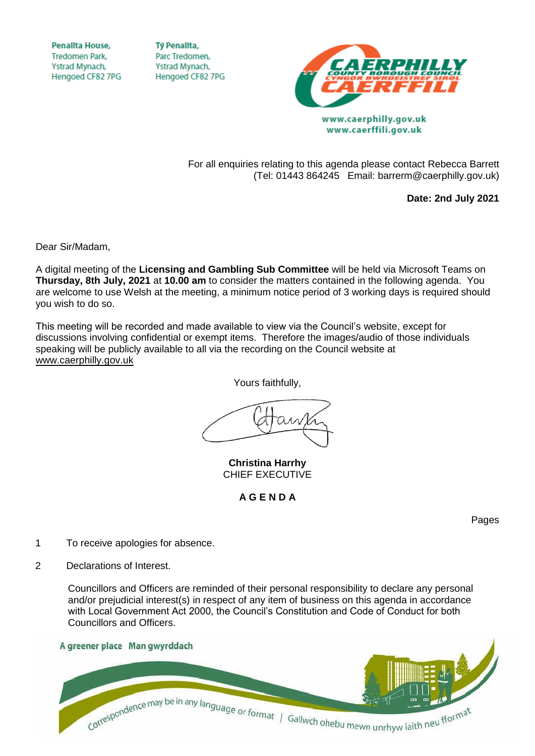**Penallta House, Tredomen Park.** Ystrad Mynach, Hengoed CF82 7PG

**TV Penallta,** Parc Tredomen. Ystrad Mynach, Hengoed CF82 7PG



www.caerphilly.gov.uk www.caerffili.gov.uk

For all enquiries relating to this agenda please contact Rebecca Barrett (Tel: 01443 864245 Email: barrerm@caerphilly.gov.uk)

**Date: 2nd July 2021**

Dear Sir/Madam,

A digital meeting of the **Licensing and Gambling Sub Committee** will be held via Microsoft Teams on **Thursday, 8th July, 2021** at **10.00 am** to consider the matters contained in the following agenda. You are welcome to use Welsh at the meeting, a minimum notice period of 3 working days is required should you wish to do so.

This meeting will be recorded and made available to view via the Council's website, except for discussions involving confidential or exempt items. Therefore the images/audio of those individuals speaking will be publicly available to all via the recording on the Council website at [www.caerphilly.gov.uk](http://www.caerphilly.gov.uk/)

Yours faithfully,

**Christina Harrhy** CHIEF EXECUTIVE

**A G E N D A**

Pages

- 1 To receive apologies for absence.
- 2 Declarations of Interest.

Councillors and Officers are reminded of their personal responsibility to declare any personal and/or prejudicial interest(s) in respect of any item of business on this agenda in accordance with Local Government Act 2000, the Council's Constitution and Code of Conduct for both Councillors and Officers.